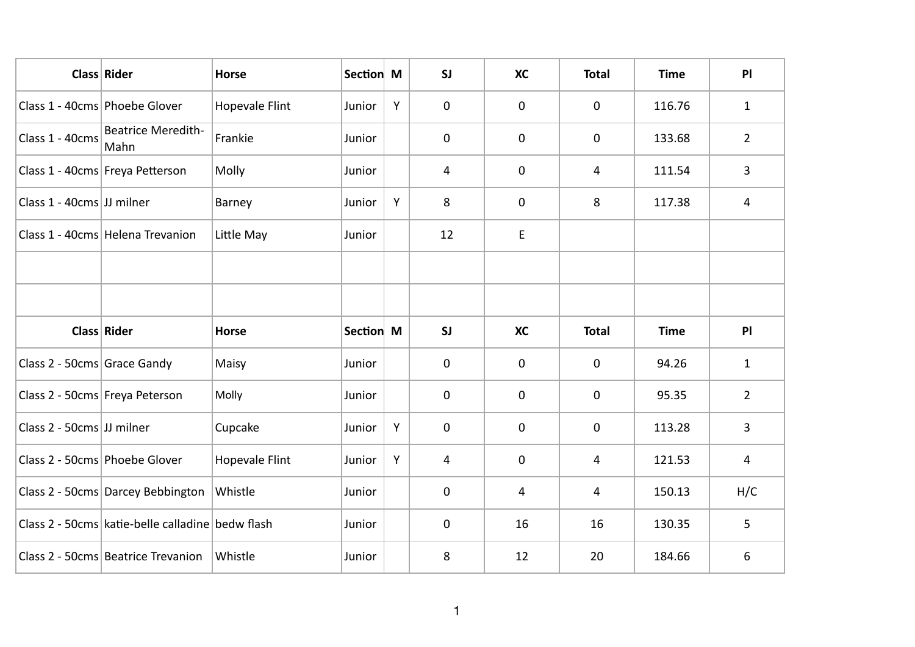|                             | Class Rider                                      | <b>Horse</b>          | Section M |   | SI             | <b>XC</b>      | <b>Total</b> | <b>Time</b> | P              |
|-----------------------------|--------------------------------------------------|-----------------------|-----------|---|----------------|----------------|--------------|-------------|----------------|
|                             | Class 1 - 40cms Phoebe Glover                    | <b>Hopevale Flint</b> | Junior    | Y | $\mathbf 0$    | 0              | $\mathbf 0$  | 116.76      | $\mathbf{1}$   |
| Class 1 - 40cms             | <b>Beatrice Meredith-</b><br>Mahn                | Frankie               | Junior    |   | $\mathbf 0$    | 0              | $\mathbf 0$  | 133.68      | $\overline{2}$ |
|                             | Class 1 - 40cms Freya Petterson                  | Molly                 | Junior    |   | 4              | 0              | 4            | 111.54      | 3              |
| Class 1 - 40cms JJ milner   |                                                  | Barney                | Junior    | Y | 8              | 0              | 8            | 117.38      | $\overline{4}$ |
|                             | Class 1 - 40cms Helena Trevanion                 | Little May            | Junior    |   | 12             | E              |              |             |                |
|                             |                                                  |                       |           |   |                |                |              |             |                |
|                             |                                                  |                       |           |   |                |                |              |             |                |
|                             |                                                  |                       |           |   |                |                |              |             |                |
|                             | Class Rider                                      | <b>Horse</b>          | Section M |   | SI             | <b>XC</b>      | <b>Total</b> | <b>Time</b> | P              |
| Class 2 - 50cms Grace Gandy |                                                  | Maisy                 | Junior    |   | $\mathbf 0$    | 0              | $\mathbf 0$  | 94.26       | $\mathbf{1}$   |
|                             | Class 2 - 50cms Freya Peterson                   | Molly                 | Junior    |   | $\mathbf 0$    | 0              | $\mathbf 0$  | 95.35       | $\overline{2}$ |
| Class 2 - 50cms JJ milner   |                                                  | Cupcake               | Junior    | Y | $\mathbf 0$    | 0              | $\pmb{0}$    | 113.28      | 3              |
|                             | Class 2 - 50cms Phoebe Glover                    | <b>Hopevale Flint</b> | Junior    | Y | $\overline{4}$ | 0              | 4            | 121.53      | 4              |
|                             | Class 2 - 50cms Darcey Bebbington                | Whistle               | Junior    |   | $\mathbf 0$    | $\overline{4}$ | 4            | 150.13      | H/C            |
|                             | Class 2 - 50cms katie-belle calladine bedw flash |                       | Junior    |   | $\mathbf 0$    | 16             | 16           | 130.35      | 5              |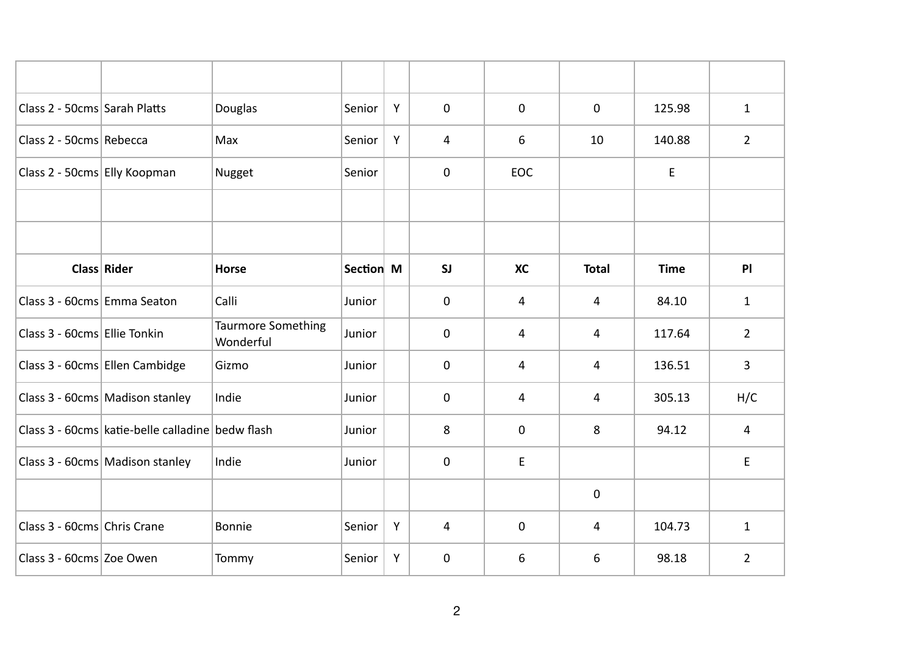| Class 2 - 50cms Sarah Platts |                                                  | Douglas                                | Senior    | Y | $\mathbf 0$    | $\mathbf 0$ | $\mathbf 0$  | 125.98      | $\mathbf{1}$   |
|------------------------------|--------------------------------------------------|----------------------------------------|-----------|---|----------------|-------------|--------------|-------------|----------------|
| Class 2 - 50cms Rebecca      |                                                  | Max                                    | Senior    | Y | $\overline{4}$ | 6           | 10           | 140.88      | $\overline{2}$ |
| Class 2 - 50cms Elly Koopman |                                                  | Nugget                                 | Senior    |   | $\mathbf 0$    | <b>EOC</b>  |              | E           |                |
|                              |                                                  |                                        |           |   |                |             |              |             |                |
|                              |                                                  |                                        |           |   |                |             |              |             |                |
|                              | Class Rider                                      | <b>Horse</b>                           | Section M |   | SI             | <b>XC</b>   | <b>Total</b> | <b>Time</b> | PI             |
| Class 3 - 60cms Emma Seaton  |                                                  | Calli                                  | Junior    |   | $\mathbf 0$    | 4           | 4            | 84.10       | $\mathbf{1}$   |
| Class 3 - 60cms Ellie Tonkin |                                                  | <b>Taurmore Something</b><br>Wonderful | Junior    |   | $\mathbf 0$    | 4           | 4            | 117.64      | $2^{\circ}$    |
|                              | Class 3 - 60cms Ellen Cambidge                   | Gizmo                                  | Junior    |   | 0              | 4           | 4            | 136.51      | $\overline{3}$ |
|                              | Class 3 - 60cms Madison stanley                  | Indie                                  | Junior    |   | $\mathbf 0$    | 4           | 4            | 305.13      | H/C            |
|                              | Class 3 - 60cms katie-belle calladine bedw flash |                                        | Junior    |   | 8              | $\mathbf 0$ | 8            | 94.12       | $\overline{4}$ |
|                              | Class 3 - 60cms Madison stanley                  | Indie                                  | Junior    |   | $\mathbf 0$    | E           |              |             | E              |
|                              |                                                  |                                        |           |   |                |             | $\pmb{0}$    |             |                |
| Class 3 - 60cms Chris Crane  |                                                  | Bonnie                                 | Senior    | Y | $\overline{4}$ | $\mathbf 0$ | 4            | 104.73      | $\mathbf{1}$   |
| Class 3 - 60cms Zoe Owen     |                                                  | Tommy                                  | Senior    | Y | $\mathbf 0$    | 6           | 6            | 98.18       | $2^{\circ}$    |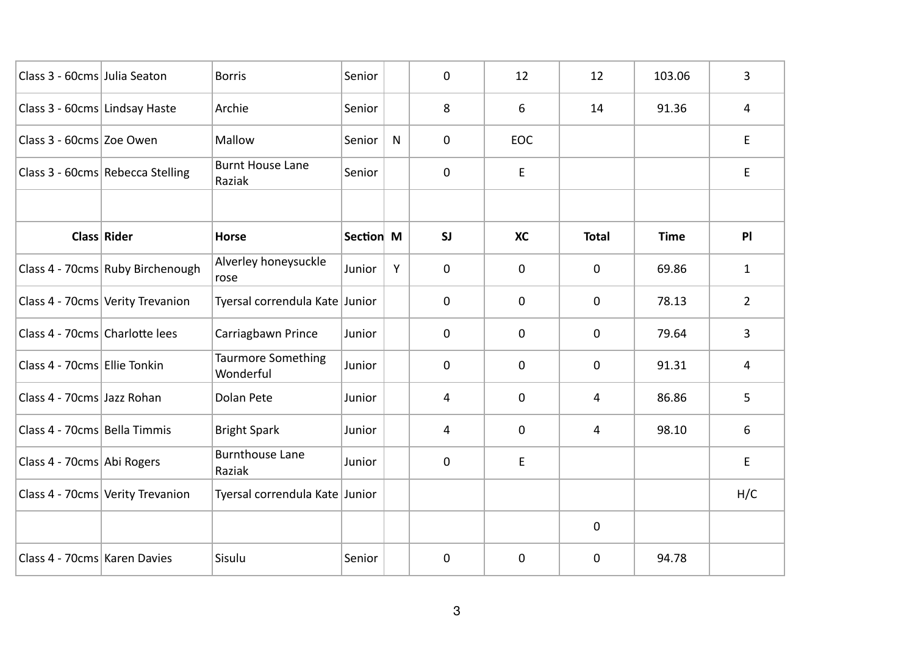| Class 3 - 60cms Julia Seaton   |                                  | <b>Borris</b>                          | Senior    |              | $\mathbf 0$  | 12          | 12           | 103.06      | 3              |
|--------------------------------|----------------------------------|----------------------------------------|-----------|--------------|--------------|-------------|--------------|-------------|----------------|
| Class 3 - 60cms Lindsay Haste  |                                  | Archie                                 | Senior    |              | 8            | 6           | 14           | 91.36       | 4              |
| Class 3 - 60cms Zoe Owen       |                                  | Mallow                                 | Senior    | $\mathsf{N}$ | $\mathbf 0$  | <b>EOC</b>  |              |             | E.             |
|                                | Class 3 - 60cms Rebecca Stelling | <b>Burnt House Lane</b><br>Raziak      | Senior    |              | $\mathbf 0$  | E           |              |             | E.             |
|                                |                                  |                                        |           |              |              |             |              |             |                |
|                                | Class Rider                      | <b>Horse</b>                           | Section M |              | SI           | <b>XC</b>   | <b>Total</b> | <b>Time</b> | P              |
|                                | Class 4 - 70cms Ruby Birchenough | Alverley honeysuckle<br>rose           | Junior    | Y            | $\mathbf 0$  | $\mathbf 0$ | $\mathbf 0$  | 69.86       | $\mathbf{1}$   |
|                                | Class 4 - 70cms Verity Trevanion | Tyersal correndula Kate Junior         |           |              | $\mathbf{0}$ | $\mathbf 0$ | 0            | 78.13       | $\overline{2}$ |
| Class 4 - 70cms Charlotte lees |                                  | Carriagbawn Prince                     | Junior    |              | $\mathbf 0$  | $\mathbf 0$ | $\mathbf 0$  | 79.64       | 3              |
| Class 4 - 70cms Ellie Tonkin   |                                  | <b>Taurmore Something</b><br>Wonderful | Junior    |              | $\mathbf 0$  | $\mathbf 0$ | $\mathbf 0$  | 91.31       | 4              |
| Class 4 - 70cms Jazz Rohan     |                                  | Dolan Pete                             | Junior    |              | 4            | $\mathbf 0$ | 4            | 86.86       | 5              |
| Class 4 - 70cms Bella Timmis   |                                  | <b>Bright Spark</b>                    | Junior    |              | 4            | $\mathbf 0$ | 4            | 98.10       | 6              |
| Class 4 - 70cms Abi Rogers     |                                  | <b>Burnthouse Lane</b><br>Raziak       | Junior    |              | 0            | E           |              |             | E.             |
|                                | Class 4 - 70cms Verity Trevanion | Tyersal correndula Kate Junior         |           |              |              |             |              |             | H/C            |
|                                |                                  |                                        |           |              |              |             | $\mathbf 0$  |             |                |
| Class 4 - 70cms Karen Davies   |                                  | Sisulu                                 | Senior    |              | $\mathbf 0$  | $\mathbf 0$ | $\mathbf 0$  | 94.78       |                |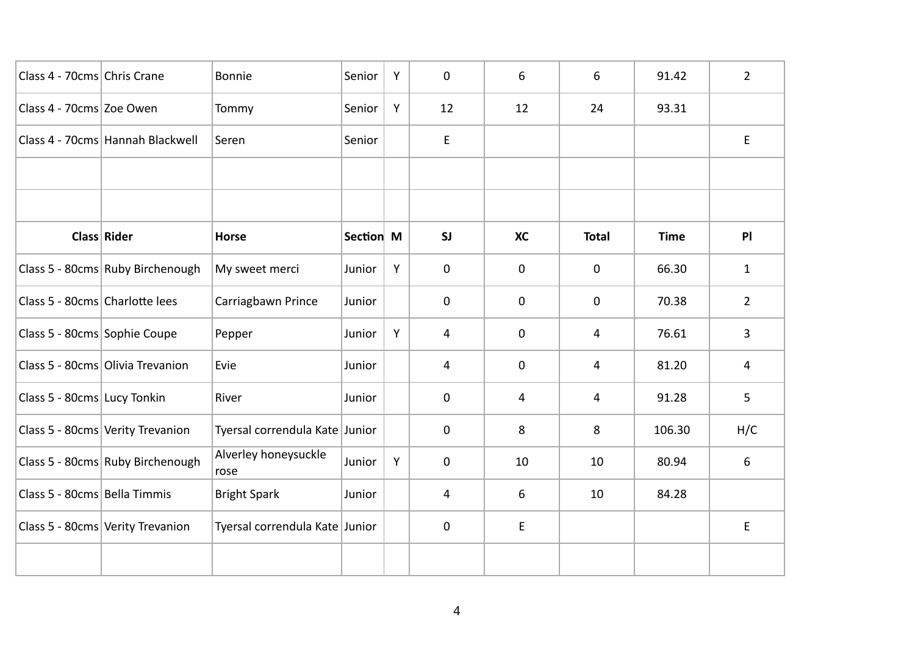| Class 4 - 70cms Chris Crane    |                                  | Bonnie                         | Senior    | Y | $\mathbf 0$    | 6           | 6            | 91.42       | $\overline{2}$ |
|--------------------------------|----------------------------------|--------------------------------|-----------|---|----------------|-------------|--------------|-------------|----------------|
| Class 4 - 70cms Zoe Owen       |                                  | Tommy                          | Senior    | Y | 12             | 12          | 24           | 93.31       |                |
|                                | Class 4 - 70cms Hannah Blackwell | Seren                          | Senior    |   | E.             |             |              |             | E.             |
|                                |                                  |                                |           |   |                |             |              |             |                |
|                                |                                  |                                |           |   |                |             |              |             |                |
|                                | Class Rider                      | <b>Horse</b>                   | Section M |   | SI             | <b>XC</b>   | <b>Total</b> | <b>Time</b> | PI             |
|                                | Class 5 - 80cms Ruby Birchenough | My sweet merci                 | Junior    | Y | $\mathbf 0$    | $\mathbf 0$ | $\mathbf 0$  | 66.30       | $\mathbf{1}$   |
| Class 5 - 80cms Charlotte lees |                                  | Carriagbawn Prince             | Junior    |   | $\mathbf 0$    | 0           | 0            | 70.38       | $\overline{2}$ |
| Class 5 - 80cms Sophie Coupe   |                                  | Pepper                         | Junior    | Y | $\overline{4}$ | 0           | 4            | 76.61       | 3              |
|                                | Class 5 - 80cms Olivia Trevanion | Evie                           | Junior    |   | 4              | 0           | 4            | 81.20       | 4              |
| Class 5 - 80cms Lucy Tonkin    |                                  | River                          | Junior    |   | $\mathbf 0$    | 4           | 4            | 91.28       | 5              |
|                                | Class 5 - 80cms Verity Trevanion | Tyersal correndula Kate Junior |           |   | 0              | 8           | 8            | 106.30      | H/C            |
|                                | Class 5 - 80cms Ruby Birchenough | Alverley honeysuckle<br>rose   | Junior    | Y | $\mathbf 0$    | 10          | 10           | 80.94       | 6              |
| Class 5 - 80cms Bella Timmis   |                                  | <b>Bright Spark</b>            | Junior    |   | 4              | 6           | 10           | 84.28       |                |
|                                | Class 5 - 80cms Verity Trevanion | Tyersal correndula Kate Junior |           |   | $\mathbf 0$    | E           |              |             | E              |
|                                |                                  |                                |           |   |                |             |              |             |                |